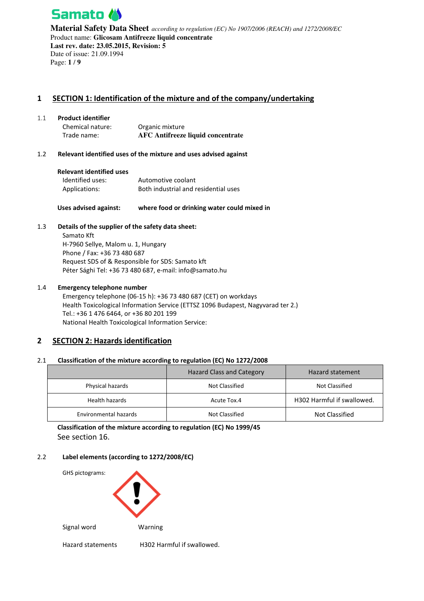

**Material Safety Data Sheet** *according to regulation (EC) No 1907/2006 (REACH) and 1272/2008/EC* Product name: **Glicosam Antifreeze liquid concentrate Last rev. date: 23.05.2015, Revision: 5**  Date of issue: 21.09.1994 Page: **1** / **9**

# **1 SECTION 1: Identification of the mixture and of the company/undertaking**

### 1.1 **Product identifier**

Chemical nature: Organic mixture Trade name: **AFC Antifreeze liquid concentrate**

### 1.2 **Relevant identified uses of the mixture and uses advised against**

| <b>Relevant identified uses</b> |                                      |
|---------------------------------|--------------------------------------|
| Identified uses:                | Automotive coolant                   |
| Applications:                   | Both industrial and residential uses |

### **Uses advised against: where food or drinking water could mixed in**

### 1.3 **Details of the supplier of the safety data sheet:**

Samato Kft H-7960 Sellye, Malom u. 1, Hungary Phone / Fax: +36 73 480 687 Request SDS of & Responsible for SDS: Samato kft Péter Sághi Tel: +36 73 480 687, e-mail: info@samato.hu

### 1.4 **Emergency telephone number**

Emergency telephone (06-15 h): +36 73 480 687 (CET) on workdays Health Toxicological Information Service (ETTSZ 1096 Budapest, Nagyvarad ter 2.) Tel.: +36 1 476 6464, or +36 80 201 199 National Health Toxicological Information Service:

## **2 SECTION 2: Hazards identification**

### 2.1 **Classification of the mixture according to regulation (EC) No 1272/2008**

|                       | <b>Hazard Class and Category</b> | Hazard statement           |
|-----------------------|----------------------------------|----------------------------|
| Physical hazards      | Not Classified                   | Not Classified             |
| Health hazards        | Acute Tox.4                      | H302 Harmful if swallowed. |
| Environmental hazards | Not Classified                   | Not Classified             |

**Classification of the mixture according to regulation (EC) No 1999/45**  See section 16.

### 2.2 **Label elements (according to 1272/2008/EC)**

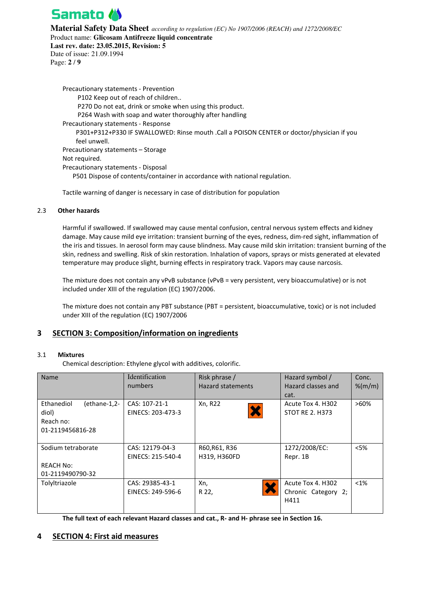

**Material Safety Data Sheet** *according to regulation (EC) No 1907/2006 (REACH) and 1272/2008/EC*

Product name: **Glicosam Antifreeze liquid concentrate** 

**Last rev. date: 23.05.2015, Revision: 5**  Date of issue: 21.09.1994 Page: **2** / **9**

Precautionary statements - Prevention P102 Keep out of reach of children.. P270 Do not eat, drink or smoke when using this product. P264 Wash with soap and water thoroughly after handling Precautionary statements - Response P301+P312+P330 IF SWALLOWED: Rinse mouth .Call a POISON CENTER or doctor/physician if you feel unwell. Precautionary statements – Storage Not required. Precautionary statements - Disposal P501 Dispose of contents/container in accordance with national regulation.

Tactile warning of danger is necessary in case of distribution for population

### 2.3 **Other hazards**

Harmful if swallowed. If swallowed may cause mental confusion, central nervous system effects and kidney damage. May cause mild eye irritation: transient burning of the eyes, redness, dim-red sight, inflammation of the iris and tissues. In aerosol form may cause blindness. May cause mild skin irritation: transient burning of the skin, redness and swelling. Risk of skin restoration. Inhalation of vapors, sprays or mists generated at elevated temperature may produce slight, burning effects in respiratory track. Vapors may cause narcosis.

The mixture does not contain any vPvB substance (vPvB = very persistent, very bioaccumulative) or is not included under XIII of the regulation (EC) 1907/2006.

The mixture does not contain any PBT substance (PBT = persistent, bioaccumulative, toxic) or is not included under XIII of the regulation (EC) 1907/2006

## **3 SECTION 3: Composition/information on ingredients**

### 3.1 **Mixtures**

Chemical description: Ethylene glycol with additives, colorific.

| <b>Name</b>                                                          | Identification<br>numbers            | Risk phrase /<br><b>Hazard statements</b> | Hazard symbol /<br>Hazard classes and<br>cat.    | Conc.<br>$%$ (m/m) |
|----------------------------------------------------------------------|--------------------------------------|-------------------------------------------|--------------------------------------------------|--------------------|
| Ethanediol<br>(ethane-1,2-<br>diol)<br>Reach no:<br>01-2119456816-28 | CAS: 107-21-1<br>EINECS: 203-473-3   | Xn, R22                                   | Acute Tox 4. H302<br><b>STOT RE 2. H373</b>      | $>60\%$            |
| Sodium tetraborate<br><b>REACH No:</b><br>01-2119490790-32           | CAS: 12179-04-3<br>EINECS: 215-540-4 | R60, R61, R36<br>H319, H360FD             | 1272/2008/EC:<br>Repr. 1B                        | $<$ 5%             |
| Tolyltriazole                                                        | CAS: 29385-43-1<br>EINECS: 249-596-6 | Xn,<br>R 22,                              | Acute Tox 4. H302<br>Chronic Category 2;<br>H411 | $< 1\%$            |

**The full text of each relevant Hazard classes and cat., R- and H- phrase see in Section 16.** 

## **4 SECTION 4: First aid measures**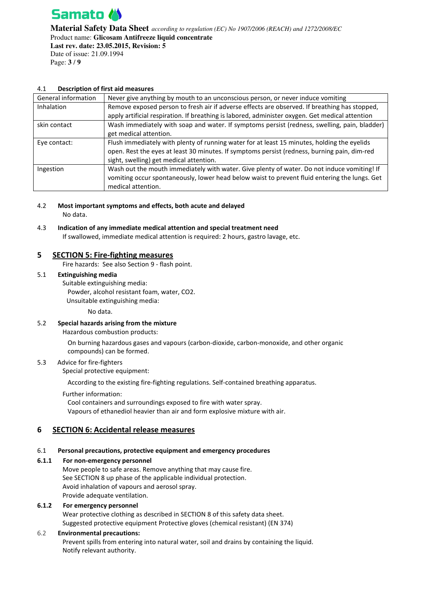

**Material Safety Data Sheet** *according to regulation (EC) No 1907/2006 (REACH) and 1272/2008/EC* Product name: **Glicosam Antifreeze liquid concentrate Last rev. date: 23.05.2015, Revision: 5**  Date of issue: 21.09.1994 Page: **3** / **9**

### 4.1 **Description of first aid measures**

| General information | Never give anything by mouth to an unconscious person, or never induce vomiting                 |
|---------------------|-------------------------------------------------------------------------------------------------|
| <b>Inhalation</b>   | Remove exposed person to fresh air if adverse effects are observed. If breathing has stopped,   |
|                     | apply artificial respiration. If breathing is labored, administer oxygen. Get medical attention |
| skin contact        | Wash immediately with soap and water. If symptoms persist (redness, swelling, pain, bladder)    |
|                     | get medical attention.                                                                          |
| Eye contact:        | Flush immediately with plenty of running water for at least 15 minutes, holding the eyelids     |
|                     | open. Rest the eyes at least 30 minutes. If symptoms persist (redness, burning pain, dim-red    |
|                     | sight, swelling) get medical attention.                                                         |
| Ingestion           | Wash out the mouth immediately with water. Give plenty of water. Do not induce vomiting! If     |
|                     | vomiting occur spontaneously, lower head below waist to prevent fluid entering the lungs. Get   |
|                     | medical attention.                                                                              |

4.2 **Most important symptoms and effects, both acute and delayed**  No data.

# 4.3 **Indication of any immediate medical attention and special treatment need**

If swallowed, immediate medical attention is required: 2 hours, gastro lavage, etc.

### **5 SECTION 5: Fire-fighting measures**

Fire hazards: See also Section 9 - flash point.

### 5.1 **Extinguishing media**

Suitable extinguishing media:

Powder, alcohol resistant foam, water, CO2.

Unsuitable extinguishing media:

No data.

### 5.2 **Special hazards arising from the mixture**

Hazardous combustion products:

On burning hazardous gases and vapours (carbon-dioxide, carbon-monoxide, and other organic compounds) can be formed.

### 5.3 Advice for fire-fighters

Special protective equipment:

According to the existing fire-fighting regulations. Self-contained breathing apparatus.

Further information:

Cool containers and surroundings exposed to fire with water spray. Vapours of ethanediol heavier than air and form explosive mixture with air.

## **6 SECTION 6: Accidental release measures**

### 6.1 **Personal precautions, protective equipment and emergency procedures**

### **6.1.1 For non-emergency personnel**

Move people to safe areas. Remove anything that may cause fire. See SECTION 8 up phase of the applicable individual protection. Avoid inhalation of vapours and aerosol spray. Provide adequate ventilation.

### **6.1.2 For emergency personnel**

Wear protective clothing as described in SECTION 8 of this safety data sheet. Suggested protective equipment Protective gloves (chemical resistant) (EN 374)

### 6.2 **Environmental precautions:**

Prevent spills from entering into natural water, soil and drains by containing the liquid. Notify relevant authority.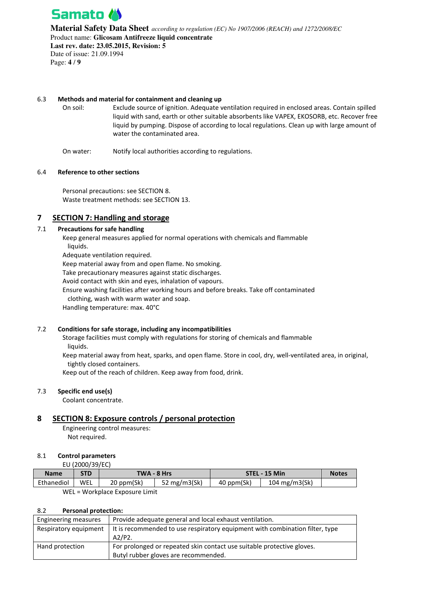

**Material Safety Data Sheet** *according to regulation (EC) No 1907/2006 (REACH) and 1272/2008/EC* Product name: **Glicosam Antifreeze liquid concentrate Last rev. date: 23.05.2015, Revision: 5**  Date of issue: 21.09.1994

Page: **4** / **9**

### 6.3 **Methods and material for containment and cleaning up**

On soil: Exclude source of ignition. Adequate ventilation required in enclosed areas. Contain spilled liquid with sand, earth or other suitable absorbents like VAPEX, EKOSORB, etc. Recover free liquid by pumping. Dispose of according to local regulations. Clean up with large amount of water the contaminated area.

On water: Notify local authorities according to regulations.

### 6.4 **Reference to other sections**

Personal precautions: see SECTION 8. Waste treatment methods: see SECTION 13.

## **7 SECTION 7: Handling and storage**

### 7.1 **Precautions for safe handling**

Keep general measures applied for normal operations with chemicals and flammable liquids.

Adequate ventilation required.

Keep material away from and open flame. No smoking.

Take precautionary measures against static discharges.

Avoid contact with skin and eyes, inhalation of vapours.

Ensure washing facilities after working hours and before breaks. Take off contaminated

clothing, wash with warm water and soap.

Handling temperature: max. 40°C

### 7.2 **Conditions for safe storage, including any incompatibilities**

Storage facilities must comply with regulations for storing of chemicals and flammable liquids.

Keep material away from heat, sparks, and open flame. Store in cool, dry, well-ventilated area, in original, tightly closed containers.

Keep out of the reach of children. Keep away from food, drink.

### 7.3 **Specific end use(s)**

Coolant concentrate.

## **8 SECTION 8: Exposure controls / personal protection**

Engineering control measures: Not required.

### 8.1 **Control parameters**

EU (2000/39/EC)

| <b>Name</b> | <b>STD</b> | TWA - 8 Hrs                    |                 | STEL - 15 Min |                 | <b>Notes</b> |
|-------------|------------|--------------------------------|-----------------|---------------|-----------------|--------------|
| Ethanediol  | WEL        | 20 ppm(Sk)                     | 52 mg/m $3(Sk)$ | 40 ppm(Sk)    | 104 $mg/m3(Sk)$ |              |
|             |            | WEL - Workplace Exposure Limit |                 |               |                 |              |

WEL = Workplace Exposure Limit

### 8.2 **Personal protection:**

| Engineering measures  | Provide adequate general and local exhaust ventilation.                                                        |
|-----------------------|----------------------------------------------------------------------------------------------------------------|
| Respiratory equipment | It is recommended to use respiratory equipment with combination filter, type<br>A2/P2.                         |
| Hand protection       | For prolonged or repeated skin contact use suitable protective gloves.<br>Butyl rubber gloves are recommended. |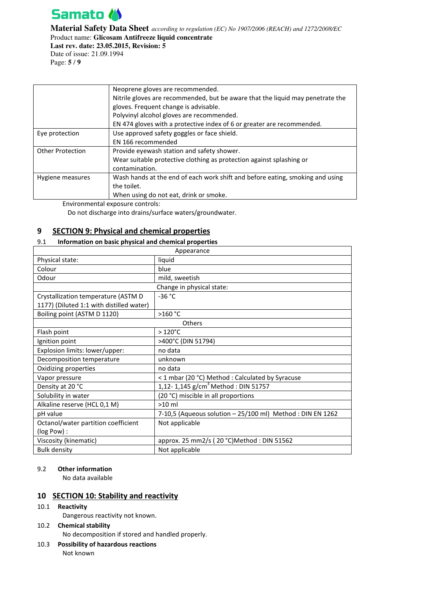

**Material Safety Data Sheet** *according to regulation (EC) No 1907/2006 (REACH) and 1272/2008/EC* Product name: **Glicosam Antifreeze liquid concentrate Last rev. date: 23.05.2015, Revision: 5**  Date of issue: 21.09.1994

Page: **5** / **9**

|                         | Neoprene gloves are recommended.                                               |  |
|-------------------------|--------------------------------------------------------------------------------|--|
|                         | Nitrile gloves are recommended, but be aware that the liquid may penetrate the |  |
|                         | gloves. Frequent change is advisable.                                          |  |
|                         | Polyvinyl alcohol gloves are recommended.                                      |  |
|                         | EN 474 gloves with a protective index of 6 or greater are recommended.         |  |
| Eye protection          | Use approved safety goggles or face shield.                                    |  |
|                         | EN 166 recommended                                                             |  |
| <b>Other Protection</b> | Provide eyewash station and safety shower.                                     |  |
|                         | Wear suitable protective clothing as protection against splashing or           |  |
|                         | contamination.                                                                 |  |
| Hygiene measures        | Wash hands at the end of each work shift and before eating, smoking and using  |  |
|                         | the toilet.                                                                    |  |
|                         | When using do not eat, drink or smoke.                                         |  |

Environmental exposure controls:

Do not discharge into drains/surface waters/groundwater.

# **9 SECTION 9: Physical and chemical properties**

### 9.1 **Information on basic physical and chemical properties**

| Appearance                               |                                                            |  |  |
|------------------------------------------|------------------------------------------------------------|--|--|
| Physical state:                          | liquid                                                     |  |  |
| Colour                                   | blue                                                       |  |  |
| Odour                                    | mild, sweetish                                             |  |  |
|                                          | Change in physical state:                                  |  |  |
| Crystallization temperature (ASTM D      | $-36 °C$                                                   |  |  |
| 1177) (Diluted 1:1 with distilled water) |                                                            |  |  |
| Boiling point (ASTM D 1120)              | >160 °C                                                    |  |  |
|                                          | Others                                                     |  |  |
| Flash point                              | $>120^{\circ}$ C                                           |  |  |
| Ignition point                           | >400°C (DIN 51794)                                         |  |  |
| Explosion limits: lower/upper:           | no data                                                    |  |  |
| Decomposition temperature                | unknown                                                    |  |  |
| Oxidizing properties                     | no data                                                    |  |  |
| Vapor pressure                           | < 1 mbar (20 °C) Method : Calculated by Syracuse           |  |  |
| Density at 20 °C                         | 1,12-1,145 $g/cm^3$ Method : DIN 51757                     |  |  |
| Solubility in water                      | (20 °C) miscible in all proportions                        |  |  |
| Alkaline reserve (HCL 0,1 M)             | $>10$ ml                                                   |  |  |
| pH value                                 | 7-10,5 (Aqueous solution - 25/100 ml) Method : DIN EN 1262 |  |  |
| Octanol/water partition coefficient      | Not applicable                                             |  |  |
| (log Pow):                               |                                                            |  |  |
| Viscosity (kinematic)                    | approx. 25 mm2/s (20 °C)Method : DIN 51562                 |  |  |
| <b>Bulk density</b>                      | Not applicable                                             |  |  |

### 9.2 **Other information**

No data available

## **10 SECTION 10: Stability and reactivity**

10.1 **Reactivity** 

Dangerous reactivity not known.

- 10.2 **Chemical stability**  No decomposition if stored and handled properly.
- 10.3 **Possibility of hazardous reactions**

Not known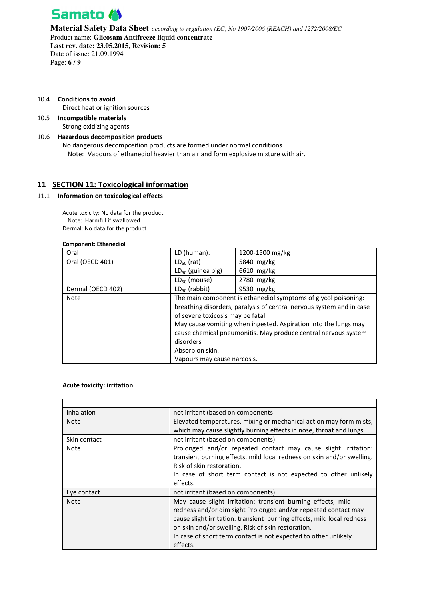

**Material Safety Data Sheet** *according to regulation (EC) No 1907/2006 (REACH) and 1272/2008/EC* Product name: **Glicosam Antifreeze liquid concentrate Last rev. date: 23.05.2015, Revision: 5**  Date of issue: 21.09.1994 Page: **6** / **9**

10.4 **Conditions to avoid** 

Direct heat or ignition sources

10.5 **Incompatible materials**  Strong oxidizing agents

## 10.6 **Hazardous decomposition products**

No dangerous decomposition products are formed under normal conditions Note: Vapours of ethanediol heavier than air and form explosive mixture with air.

# **11 SECTION 11: Toxicological information**

#### 11.1 **Information on toxicological effects**

Acute toxicity: No data for the product. Note: Harmful if swallowed. Dermal: No data for the product

#### **Component: Ethanediol**

| Oral              | LD (human):                                                          | 1200-1500 mg/kg |  |
|-------------------|----------------------------------------------------------------------|-----------------|--|
| Oral (OECD 401)   | 5840 mg/kg<br>$LD_{50}$ (rat)                                        |                 |  |
|                   | $LD_{50}$ (guinea pig)                                               | 6610 mg/kg      |  |
|                   | $LD_{50}$ (mouse)                                                    | 2780 mg/kg      |  |
| Dermal (OECD 402) | $LD_{50}$ (rabbit)                                                   | 9530 mg/kg      |  |
| Note              | The main component is ethanediol symptoms of glycol poisoning:       |                 |  |
|                   | breathing disorders, paralysis of central nervous system and in case |                 |  |
|                   | of severe toxicosis may be fatal.                                    |                 |  |
|                   | May cause vomiting when ingested. Aspiration into the lungs may      |                 |  |
|                   | cause chemical pneumonitis. May produce central nervous system       |                 |  |
|                   | disorders                                                            |                 |  |
|                   | Absorb on skin.                                                      |                 |  |
|                   | Vapours may cause narcosis.                                          |                 |  |

### **Acute toxicity: irritation**

| Inhalation   | not irritant (based on components                                      |  |  |
|--------------|------------------------------------------------------------------------|--|--|
| <b>Note</b>  | Elevated temperatures, mixing or mechanical action may form mists,     |  |  |
|              | which may cause slightly burning effects in nose, throat and lungs     |  |  |
| Skin contact | not irritant (based on components)                                     |  |  |
| Note         | Prolonged and/or repeated contact may cause slight irritation:         |  |  |
|              | transient burning effects, mild local redness on skin and/or swelling. |  |  |
|              | Risk of skin restoration.                                              |  |  |
|              | In case of short term contact is not expected to other unlikely        |  |  |
|              | effects.                                                               |  |  |
| Eye contact  | not irritant (based on components)                                     |  |  |
| <b>Note</b>  | May cause slight irritation: transient burning effects, mild           |  |  |
|              | redness and/or dim sight Prolonged and/or repeated contact may         |  |  |
|              | cause slight irritation: transient burning effects, mild local redness |  |  |
|              | on skin and/or swelling. Risk of skin restoration.                     |  |  |
|              | In case of short term contact is not expected to other unlikely        |  |  |
|              | effects.                                                               |  |  |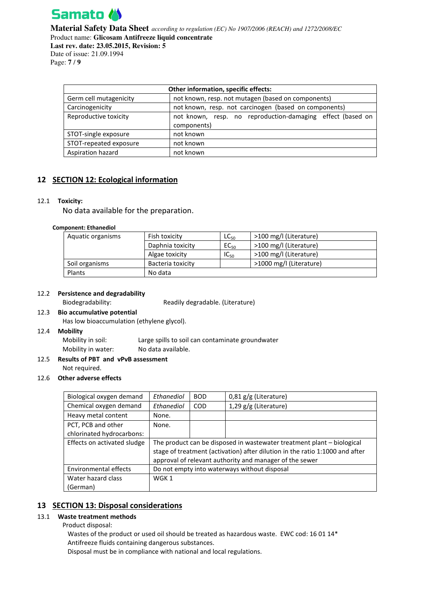

**Material Safety Data Sheet** *according to regulation (EC) No 1907/2006 (REACH) and 1272/2008/EC* Product name: **Glicosam Antifreeze liquid concentrate Last rev. date: 23.05.2015, Revision: 5**  Date of issue: 21.09.1994 Page: **7** / **9**

| Other information, specific effects: |                                                                           |  |  |
|--------------------------------------|---------------------------------------------------------------------------|--|--|
| Germ cell mutagenicity               | not known, resp. not mutagen (based on components)                        |  |  |
| Carcinogenicity                      | not known, resp. not carcinogen (based on components)                     |  |  |
| Reproductive toxicity                | not known, resp. no reproduction-damaging effect (based on<br>components) |  |  |
| STOT-single exposure                 | not known                                                                 |  |  |
| STOT-repeated exposure               | not known                                                                 |  |  |
| Aspiration hazard                    | not known                                                                 |  |  |

# **12 SECTION 12: Ecological information**

### 12.1 **Toxicity:**

No data available for the preparation.

#### **Component: Ethanediol**

| Aquatic organisms | Fish toxicity     | $LC_{50}$ | >100 mg/l (Literature)  |
|-------------------|-------------------|-----------|-------------------------|
|                   | Daphnia toxicity  | $EC_{50}$ | >100 mg/l (Literature)  |
|                   | Algae toxicity    | $IC_{50}$ | >100 mg/l (Literature)  |
| Soil organisms    | Bacteria toxicity |           | >1000 mg/l (Literature) |
| Plants            | No data           |           |                         |

### 12.2 **Persistence and degradability**

Biodegradability: Readily degradable. (Literature)

#### 12.3 **Bio accumulative potential**

Has low bioaccumulation (ethylene glycol).

#### 12.4 **Mobility**

| Mobility in soil:  | Large spills to soil can contaminate groundwater |
|--------------------|--------------------------------------------------|
| Mobility in water: | No data available.                               |

### 12.5 **Results of PBT and vPvB assessment**  Not required.

#### 12.6 **Other adverse effects**

| Biological oxygen demand       | Ethanediol                                                                                                                                                                                                        | <b>BOD</b> | $0.81$ g/g (Literature) |  |  |
|--------------------------------|-------------------------------------------------------------------------------------------------------------------------------------------------------------------------------------------------------------------|------------|-------------------------|--|--|
| Chemical oxygen demand         | Ethanediol                                                                                                                                                                                                        | <b>COD</b> | $1,29$ g/g (Literature) |  |  |
| Heavy metal content            | None.                                                                                                                                                                                                             |            |                         |  |  |
| PCT, PCB and other             | None.                                                                                                                                                                                                             |            |                         |  |  |
| chlorinated hydrocarbons:      |                                                                                                                                                                                                                   |            |                         |  |  |
| Effects on activated sludge    | The product can be disposed in wastewater treatment plant - biological<br>stage of treatment (activation) after dilution in the ratio 1:1000 and after<br>approval of relevant authority and manager of the sewer |            |                         |  |  |
| <b>Environmental effects</b>   | Do not empty into waterways without disposal                                                                                                                                                                      |            |                         |  |  |
| Water hazard class<br>(German) | WGK 1                                                                                                                                                                                                             |            |                         |  |  |

## **13 SECTION 13: Disposal considerations**

#### 13.1 **Waste treatment methods**

Product disposal:

Wastes of the product or used oil should be treated as hazardous waste. EWC cod: 16 01 14\* Antifreeze fluids containing dangerous substances.

Disposal must be in compliance with national and local regulations.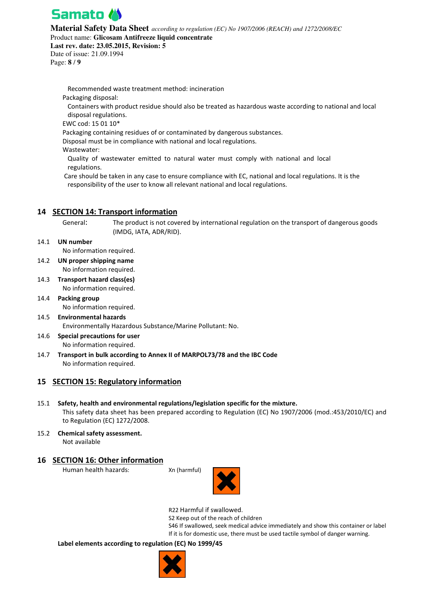

**Material Safety Data Sheet** *according to regulation (EC) No 1907/2006 (REACH) and 1272/2008/EC*

Product name: **Glicosam Antifreeze liquid concentrate** 

**Last rev. date: 23.05.2015, Revision: 5**  Date of issue: 21.09.1994

Page: **8** / **9**

Recommended waste treatment method: incineration Packaging disposal: Containers with product residue should also be treated as hazardous waste according to national and local disposal regulations. EWC cod: 15 01 10\* Packaging containing residues of or contaminated by dangerous substances. Disposal must be in compliance with national and local regulations. Wastewater:

Quality of wastewater emitted to natural water must comply with national and local regulations.

 Care should be taken in any case to ensure compliance with EC, national and local regulations. It is the responsibility of the user to know all relevant national and local regulations.

## **14 SECTION 14: Transport information**

General: The product is not covered by international regulation on the transport of dangerous goods (IMDG, IATA, ADR/RID).

14.1 **UN number** 

No information required.

- 14.2 **UN proper shipping name**  No information required.
- 14.3 **Transport hazard class(es)**  No information required.
- 14.4 **Packing group**  No information required.
- 14.5 **Environmental hazards**  Environmentally Hazardous Substance/Marine Pollutant: No.
- 14.6 **Special precautions for user**  No information required.
- 14.7 **Transport in bulk according to Annex II of MARPOL73/78 and the IBC Code**  No information required.

# **15 SECTION 15: Regulatory information**

- 15.1 **Safety, health and environmental regulations/legislation specific for the mixture.**  This safety data sheet has been prepared according to Regulation (EC) No 1907/2006 (mod.:453/2010/EC) and to Regulation (EC) 1272/2008.
- 15.2 **Chemical safety assessment.**  Not available

# **16 SECTION 16: Other information**

Human health hazards: Xn (harmful)





R22 Harmful if swallowed.

S2 Keep out of the reach of children

S46 If swallowed, seek medical advice immediately and show this container or label If it is for domestic use, there must be used tactile symbol of danger warning.

## **Label elements according to regulation (EC) No 1999/45**